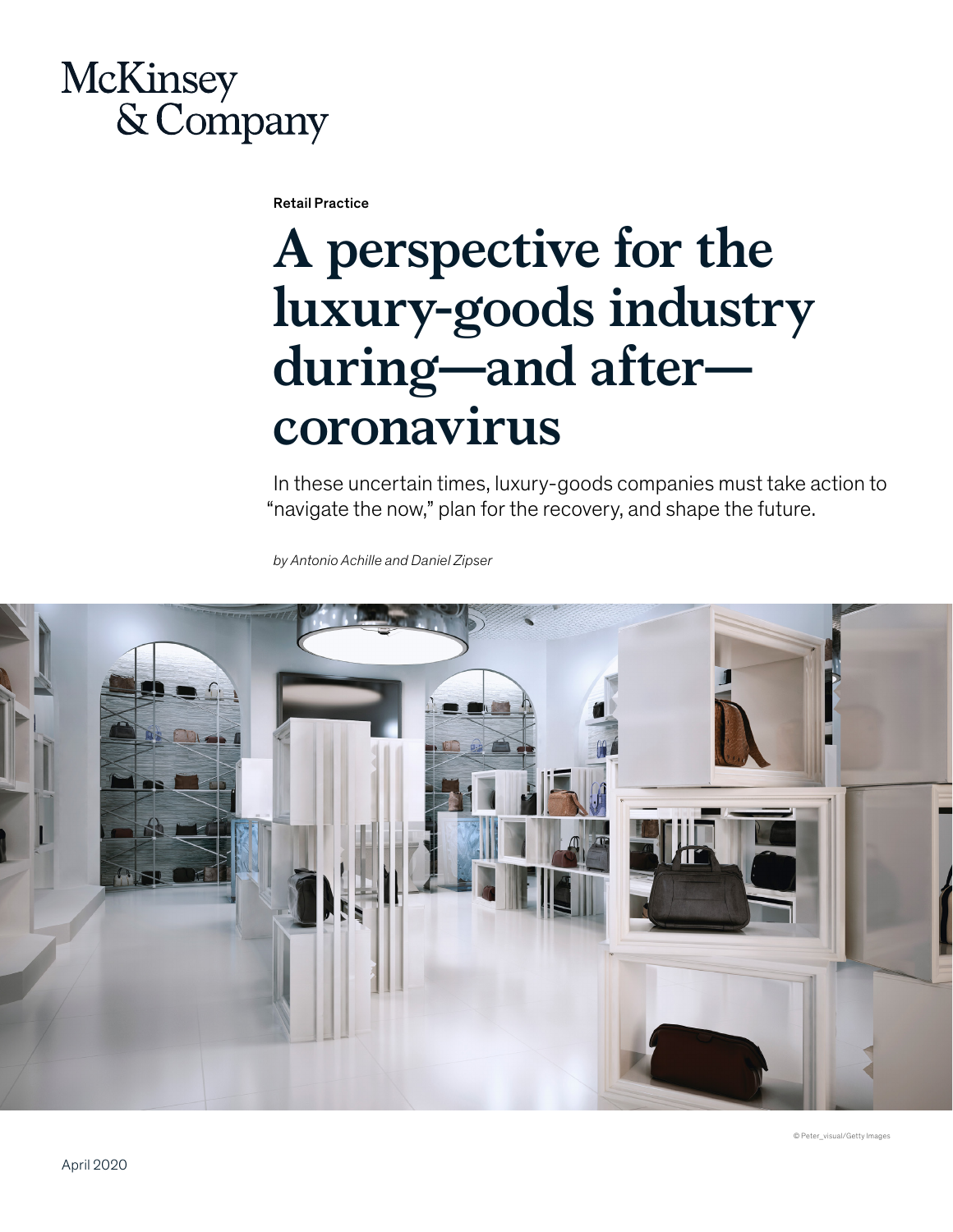# McKinsey & Company

Retail Practice

# **A perspective for the luxury-goods industry during—and after coronavirus**

In these uncertain times, luxury-goods companies must take action to "navigate the now," plan for the recovery, and shape the future.

*by Antonio Achille and Daniel Zipser*

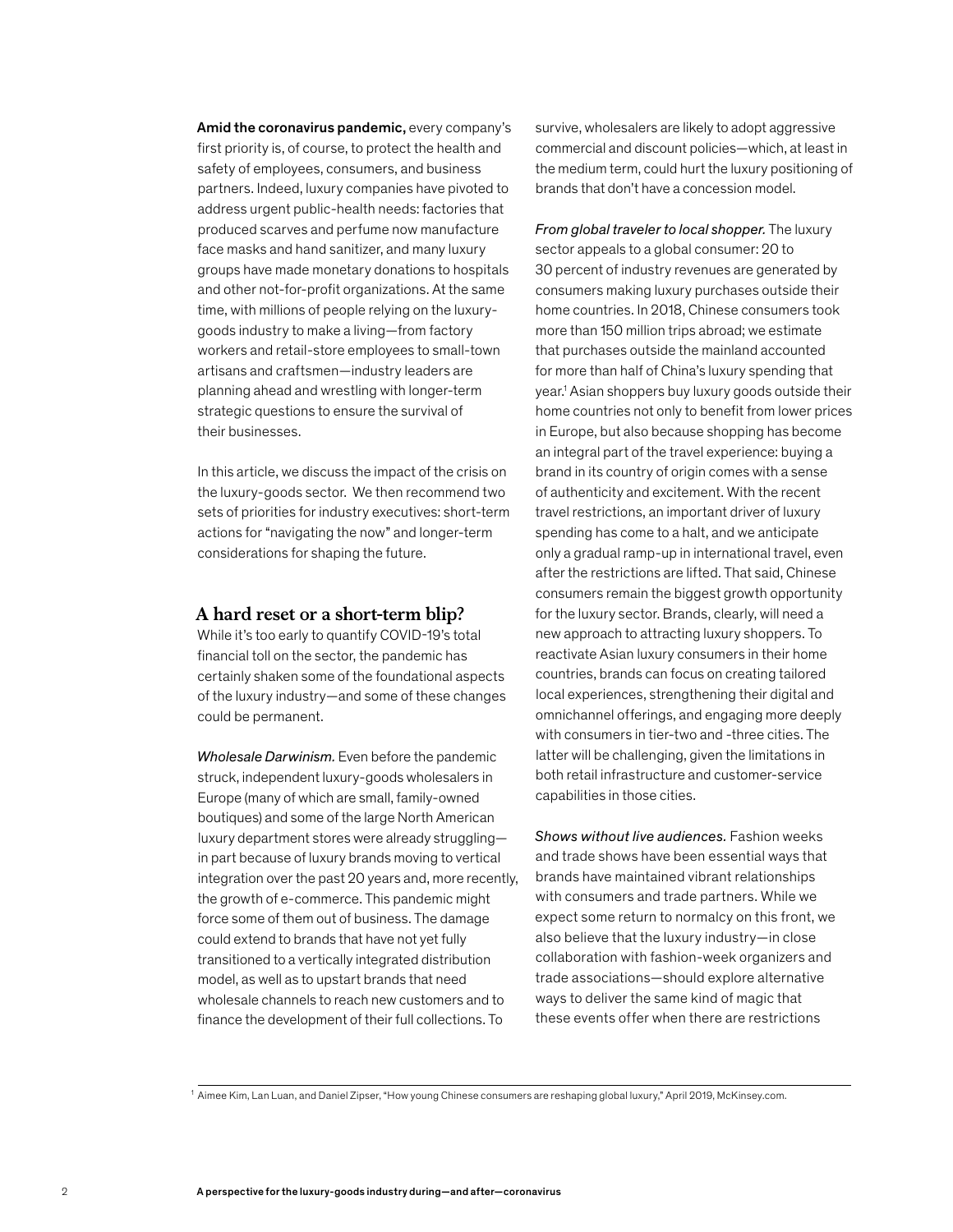Amid the coronavirus pandemic, every company's first priority is, of course, to protect the health and safety of employees, consumers, and business partners. Indeed, luxury companies have pivoted to address urgent public-health needs: factories that produced scarves and perfume now manufacture face masks and hand sanitizer, and many luxury groups have made monetary donations to hospitals and other not-for-profit organizations. At the same time, with millions of people relying on the luxurygoods industry to make a living—from factory workers and retail-store employees to small-town artisans and craftsmen—industry leaders are planning ahead and wrestling with longer-term strategic questions to ensure the survival of their businesses.

In this article, we discuss the impact of the crisis on the luxury-goods sector. We then recommend two sets of priorities for industry executives: short-term actions for "navigating the now" and longer-term considerations for shaping the future.

# **A hard reset or a short-term blip?**

While it's too early to quantify COVID-19's total financial toll on the sector, the pandemic has certainly shaken some of the foundational aspects of the luxury industry—and some of these changes could be permanent.

*Wholesale Darwinism.* Even before the pandemic struck, independent luxury-goods wholesalers in Europe (many of which are small, family-owned boutiques) and some of the large North American luxury department stores were already struggling in part because of luxury brands moving to vertical integration over the past 20 years and, more recently, the growth of e-commerce. This pandemic might force some of them out of business. The damage could extend to brands that have not yet fully transitioned to a vertically integrated distribution model, as well as to upstart brands that need wholesale channels to reach new customers and to finance the development of their full collections. To

survive, wholesalers are likely to adopt aggressive commercial and discount policies—which, at least in the medium term, could hurt the luxury positioning of brands that don't have a concession model.

*From global traveler to local shopper.* The luxury sector appeals to a global consumer: 20 to 30 percent of industry revenues are generated by consumers making luxury purchases outside their home countries. In 2018, Chinese consumers took more than 150 million trips abroad; we estimate that purchases outside the mainland accounted for more than half of China's luxury spending that year.1 Asian shoppers buy luxury goods outside their home countries not only to benefit from lower prices in Europe, but also because shopping has become an integral part of the travel experience: buying a brand in its country of origin comes with a sense of authenticity and excitement. With the recent travel restrictions, an important driver of luxury spending has come to a halt, and we anticipate only a gradual ramp-up in international travel, even after the restrictions are lifted. That said, Chinese consumers remain the biggest growth opportunity for the luxury sector. Brands, clearly, will need a new approach to attracting luxury shoppers. To reactivate Asian luxury consumers in their home countries, brands can focus on creating tailored local experiences, strengthening their digital and omnichannel offerings, and engaging more deeply with consumers in tier-two and -three cities. The latter will be challenging, given the limitations in both retail infrastructure and customer-service capabilities in those cities.

*Shows without live audiences.* Fashion weeks and trade shows have been essential ways that brands have maintained vibrant relationships with consumers and trade partners. While we expect some return to normalcy on this front, we also believe that the luxury industry—in close collaboration with fashion-week organizers and trade associations—should explore alternative ways to deliver the same kind of magic that these events offer when there are restrictions

<sup>1</sup> Aimee Kim, Lan Luan, and Daniel Zipser, "How young Chinese consumers are reshaping global luxury," April 2019, McKinsey.com.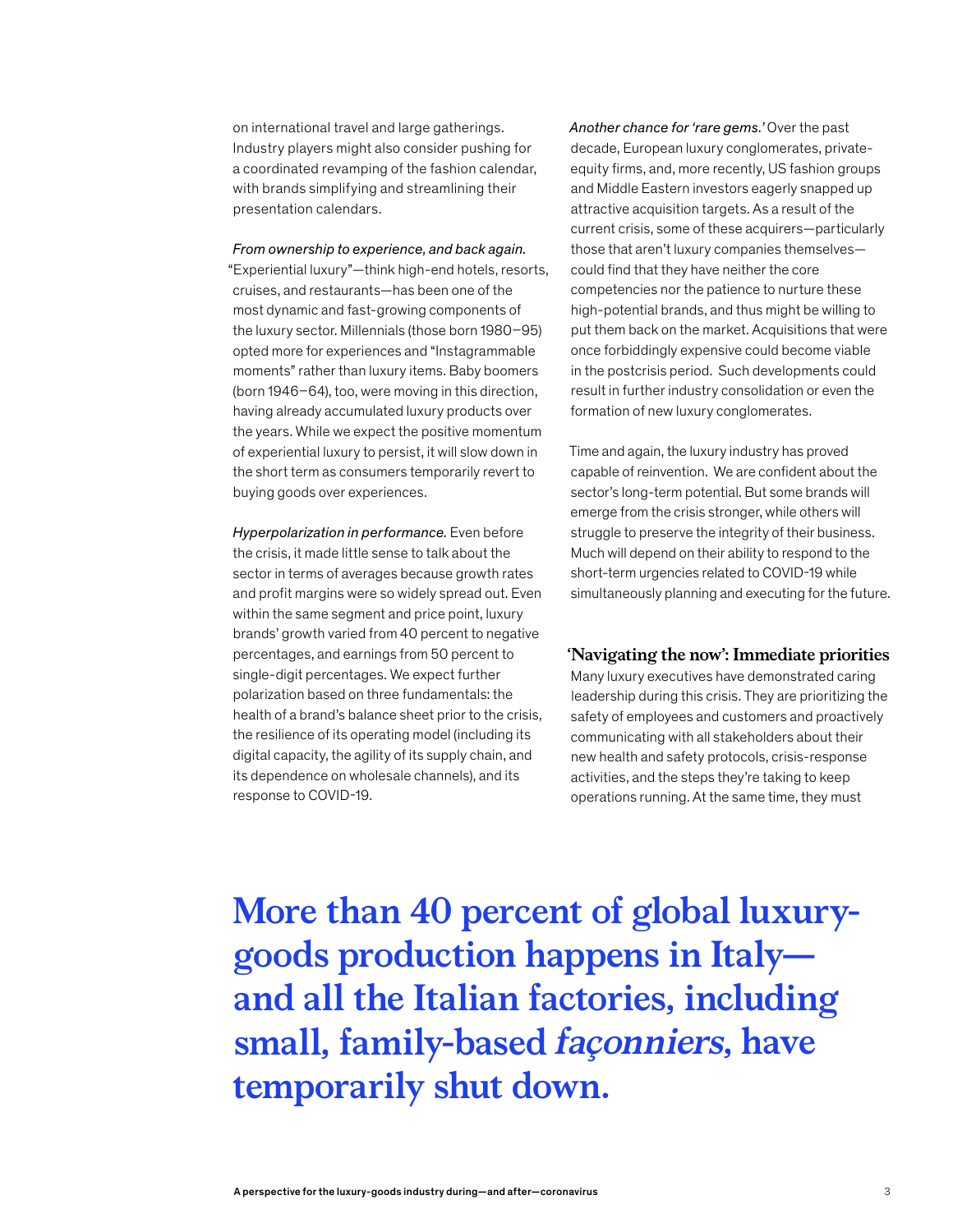on international travel and large gatherings. Industry players might also consider pushing for a coordinated revamping of the fashion calendar, with brands simplifying and streamlining their presentation calendars.

*From ownership to experience, and back again.*  "Experiential luxury"—think high-end hotels, resorts, cruises, and restaurants—has been one of the most dynamic and fast-growing components of the luxury sector. Millennials (those born 1980–95) opted more for experiences and "Instagrammable moments" rather than luxury items. Baby boomers (born 1946–64), too, were moving in this direction, having already accumulated luxury products over the years. While we expect the positive momentum of experiential luxury to persist, it will slow down in the short term as consumers temporarily revert to buying goods over experiences.

*Hyperpolarization in performance.* Even before the crisis, it made little sense to talk about the sector in terms of averages because growth rates and profit margins were so widely spread out. Even within the same segment and price point, luxury brands' growth varied from 40 percent to negative percentages, and earnings from 50 percent to single-digit percentages. We expect further polarization based on three fundamentals: the health of a brand's balance sheet prior to the crisis, the resilience of its operating model (including its digital capacity, the agility of its supply chain, and its dependence on wholesale channels), and its response to COVID-19.

*Another chance for 'rare gems.'* Over the past decade, European luxury conglomerates, privateequity firms, and, more recently, US fashion groups and Middle Eastern investors eagerly snapped up attractive acquisition targets. As a result of the current crisis, some of these acquirers—particularly those that aren't luxury companies themselves could find that they have neither the core competencies nor the patience to nurture these high-potential brands, and thus might be willing to put them back on the market. Acquisitions that were once forbiddingly expensive could become viable in the postcrisis period. Such developments could result in further industry consolidation or even the formation of new luxury conglomerates.

Time and again, the luxury industry has proved capable of reinvention. We are confident about the sector's long-term potential. But some brands will emerge from the crisis stronger, while others will struggle to preserve the integrity of their business. Much will depend on their ability to respond to the short-term urgencies related to COVID-19 while simultaneously planning and executing for the future.

# **'Navigating the now': Immediate priorities**

Many luxury executives have demonstrated caring leadership during this crisis. They are prioritizing the safety of employees and customers and proactively communicating with all stakeholders about their new health and safety protocols, crisis-response activities, and the steps they're taking to keep operations running. At the same time, they must

**More than 40 percent of global luxurygoods production happens in Italy and all the Italian factories, including small, family-based façonniers, have temporarily shut down.**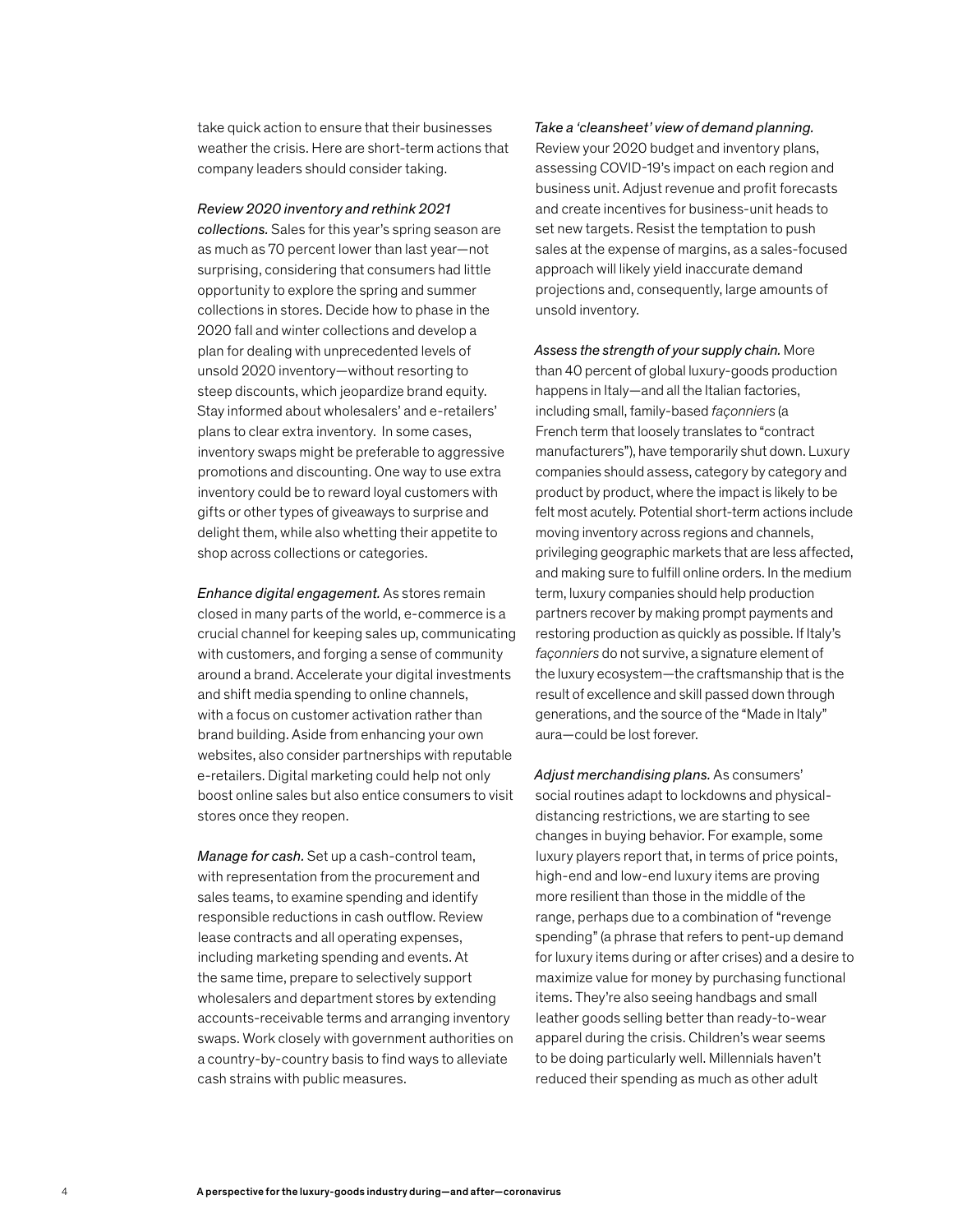take quick action to ensure that their businesses weather the crisis. Here are short-term actions that company leaders should consider taking.

#### *Review 2020 inventory and rethink 2021*

*collections.* Sales for this year's spring season are as much as 70 percent lower than last year—not surprising, considering that consumers had little opportunity to explore the spring and summer collections in stores. Decide how to phase in the 2020 fall and winter collections and develop a plan for dealing with unprecedented levels of unsold 2020 inventory—without resorting to steep discounts, which jeopardize brand equity. Stay informed about wholesalers' and e-retailers' plans to clear extra inventory. In some cases, inventory swaps might be preferable to aggressive promotions and discounting. One way to use extra inventory could be to reward loyal customers with gifts or other types of giveaways to surprise and delight them, while also whetting their appetite to shop across collections or categories.

*Enhance digital engagement.* As stores remain closed in many parts of the world, e-commerce is a crucial channel for keeping sales up, communicating with customers, and forging a sense of community around a brand. Accelerate your digital investments and shift media spending to online channels, with a focus on customer activation rather than brand building. Aside from enhancing your own websites, also consider partnerships with reputable e-retailers. Digital marketing could help not only boost online sales but also entice consumers to visit stores once they reopen.

*Manage for cash.* Set up a cash-control team, with representation from the procurement and sales teams, to examine spending and identify responsible reductions in cash outflow. Review lease contracts and all operating expenses, including marketing spending and events. At the same time, prepare to selectively support wholesalers and department stores by extending accounts-receivable terms and arranging inventory swaps. Work closely with government authorities on a country-by-country basis to find ways to alleviate cash strains with public measures.

*Take a 'cleansheet' view of demand planning.* Review your 2020 budget and inventory plans, assessing COVID-19's impact on each region and business unit. Adjust revenue and profit forecasts and create incentives for business-unit heads to set new targets. Resist the temptation to push sales at the expense of margins, as a sales-focused approach will likely yield inaccurate demand projections and, consequently, large amounts of unsold inventory.

*Assess the strength of your supply chain.* More than 40 percent of global luxury-goods production happens in Italy—and all the Italian factories, including small, family-based *façonniers* (a French term that loosely translates to "contract manufacturers"), have temporarily shut down. Luxury companies should assess, category by category and product by product, where the impact is likely to be felt most acutely. Potential short-term actions include moving inventory across regions and channels, privileging geographic markets that are less affected, and making sure to fulfill online orders. In the medium term, luxury companies should help production partners recover by making prompt payments and restoring production as quickly as possible. If Italy's *façonniers* do not survive, a signature element of the luxury ecosystem—the craftsmanship that is the result of excellence and skill passed down through generations, and the source of the "Made in Italy" aura—could be lost forever.

*Adjust merchandising plans.* As consumers' social routines adapt to lockdowns and physicaldistancing restrictions, we are starting to see changes in buying behavior. For example, some luxury players report that, in terms of price points, high-end and low-end luxury items are proving more resilient than those in the middle of the range, perhaps due to a combination of "revenge spending" (a phrase that refers to pent-up demand for luxury items during or after crises) and a desire to maximize value for money by purchasing functional items. They're also seeing handbags and small leather goods selling better than ready-to-wear apparel during the crisis. Children's wear seems to be doing particularly well. Millennials haven't reduced their spending as much as other adult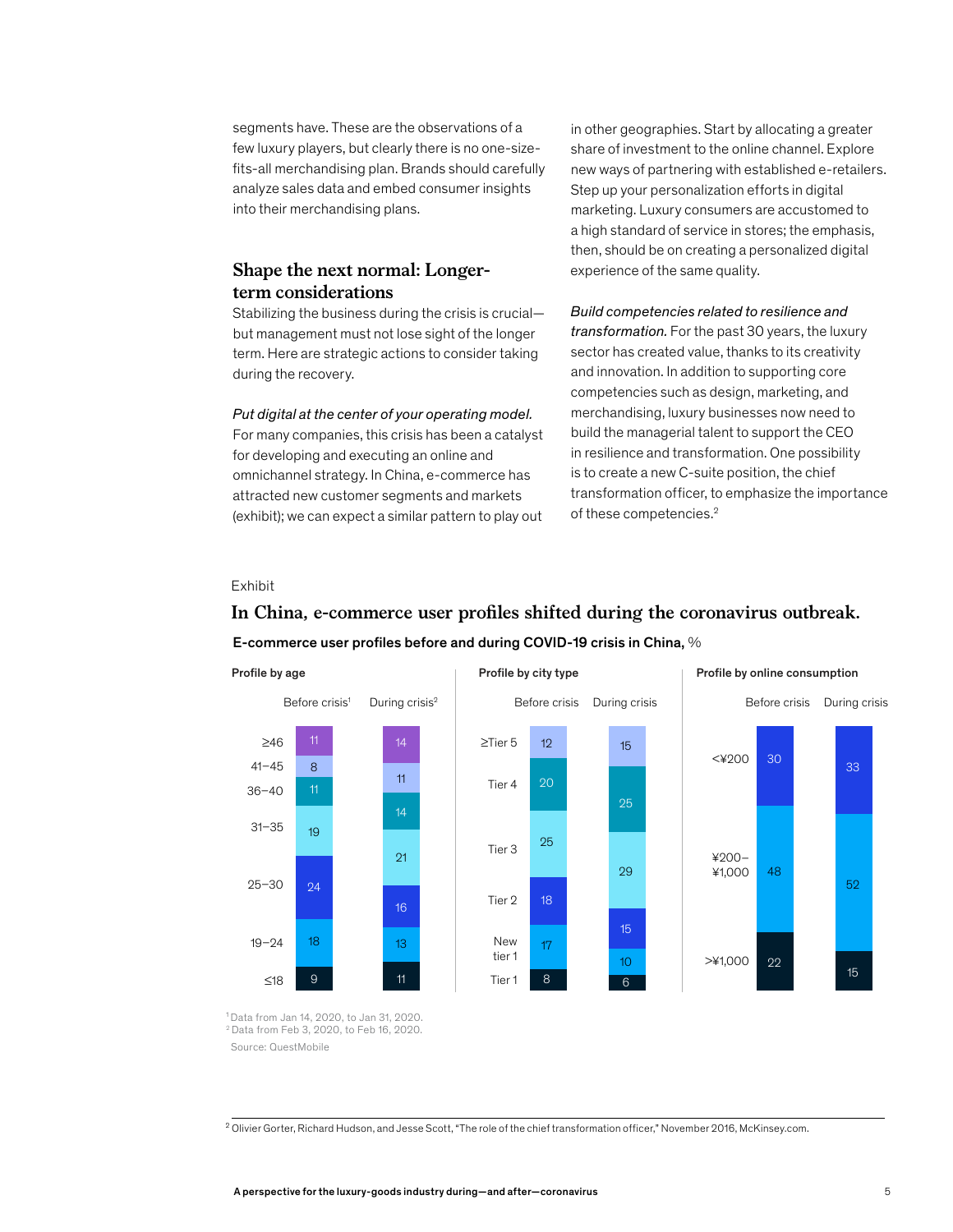segments have. These are the observations of a few luxury players, but clearly there is no one-sizefits-all merchandising plan. Brands should carefully analyze sales data and embed consumer insights into their merchandising plans.

# **Shape the next normal: Longerterm considerations**

Stabilizing the business during the crisis is crucial but management must not lose sight of the longer term. Here are strategic actions to consider taking during the recovery.

*Put digital at the center of your operating model.*  For many companies, this crisis has been a catalyst

for developing and executing an online and omnichannel strategy. In China, e-commerce has attracted new customer segments and markets (exhibit); we can expect a similar pattern to play out

in other geographies. Start by allocating a greater share of investment to the online channel. Explore new ways of partnering with established e-retailers. Step up your personalization efforts in digital marketing. Luxury consumers are accustomed to a high standard of service in stores; the emphasis, then, should be on creating a personalized digital experience of the same quality.

#### *Build competencies related to resilience and*

*transformation.* For the past 30 years, the luxury sector has created value, thanks to its creativity and innovation. In addition to supporting core competencies such as design, marketing, and merchandising, luxury businesses now need to build the managerial talent to support the CEO in resilience and transformation. One possibility is to create a new C-suite position, the chief transformation officer, to emphasize the importance of these competencies.<sup>2</sup>

#### Exhibit

41–45 36–40

31–35

25–30

19–24



## E-commerce user profiles before and during COVID-19 crisis in China, %

In China, e-commerce user profiles shifted during the coronavirus outbreak.

<sup>1</sup> Data from Jan 14, 2020, to Jan 31, 2020. <sup>2</sup> Data from Feb 3, 2020, to Feb 16, 2020. Source: QuestMobile

<sup>2</sup> Olivier Gorter, Richard Hudson, and Jesse Scott, "The role of the chief transformation officer," November 2016, McKinsey.com.